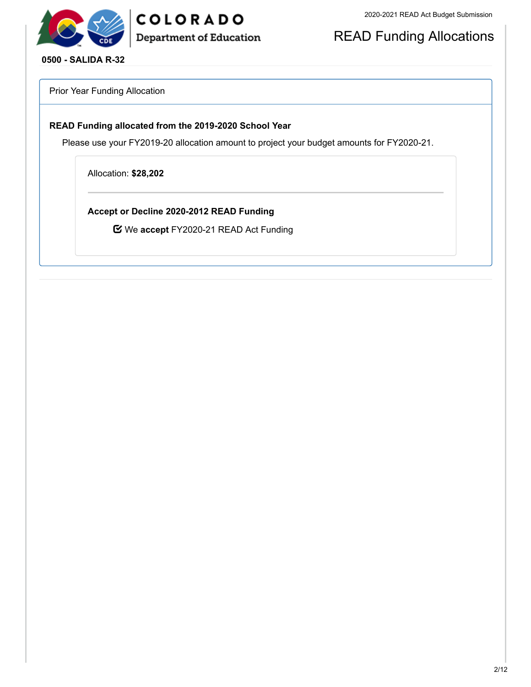

## COLORADO **Department of Education**

READ Funding Allocations

**0500 - SALIDA R-32**

Prior Year Funding Allocation

#### **READ Funding allocated from the 2019-2020 School Year**

Please use your FY2019-20 allocation amount to project your budget amounts for FY2020-21.

Allocation: **\$28,202**

**Accept or Decline 2020-2012 READ Funding**

We **accept** FY2020-21 READ Act Funding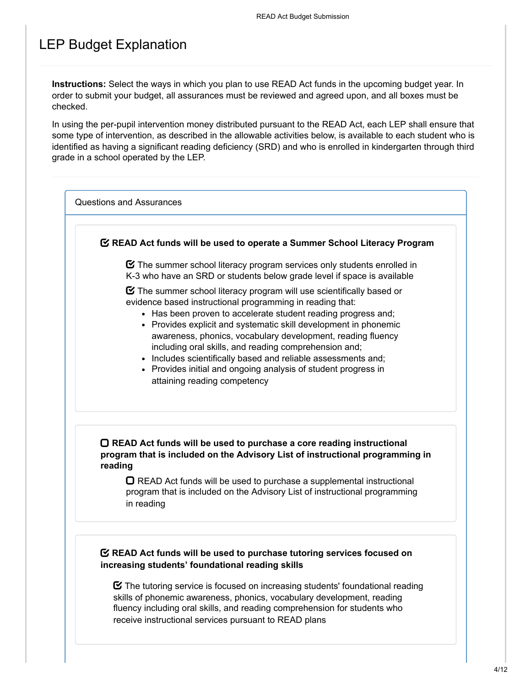## LEP Budget Explanation

**Instructions:** Select the ways in which you plan to use READ Act funds in the upcoming budget year. In order to submit your budget, all assurances must be reviewed and agreed upon, and all boxes must be checked.

In using the per-pupil intervention money distributed pursuant to the READ Act, each LEP shall ensure that some type of intervention, as described in the allowable activities below, is available to each student who is identified as having a significant reading deficiency (SRD) and who is enrolled in kindergarten through third grade in a school operated by the LEP.

Questions and Assurances

#### **READ Act funds will be used to operate a Summer School Literacy Program**

 $\boldsymbol{\heartsuit}$  The summer school literacy program services only students enrolled in K-3 who have an SRD or students below grade level if space is available

 $\boldsymbol{\Xi}$  The summer school literacy program will use scientifically based or evidence based instructional programming in reading that:

- Has been proven to accelerate student reading progress and:
- Provides explicit and systematic skill development in phonemic awareness, phonics, vocabulary development, reading fluency including oral skills, and reading comprehension and;
- Includes scientifically based and reliable assessments and;
- Provides initial and ongoing analysis of student progress in attaining reading competency

#### **READ Act funds will be used to purchase a core reading instructional program that is included on the Advisory List of instructional programming in reading**

 $\Box$  READ Act funds will be used to purchase a supplemental instructional program that is included on the Advisory List of instructional programming in reading

#### **READ Act funds will be used to purchase tutoring services focused on increasing students' foundational reading skills**

 $\boldsymbol{\heartsuit}$  The tutoring service is focused on increasing students' foundational reading skills of phonemic awareness, phonics, vocabulary development, reading fluency including oral skills, and reading comprehension for students who receive instructional services pursuant to READ plans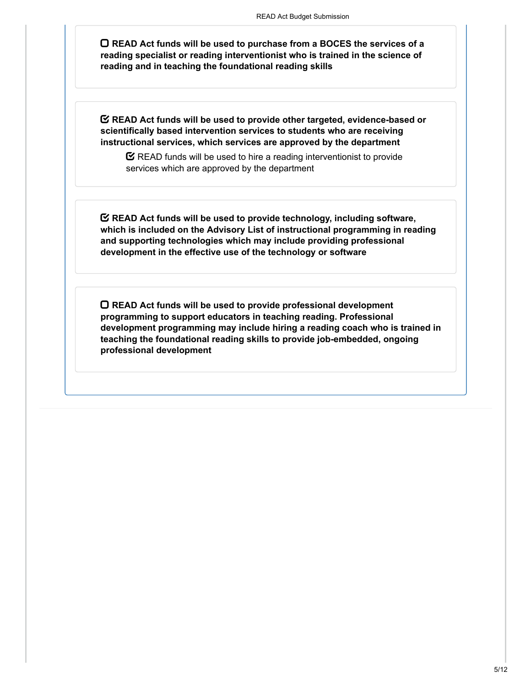**READ Act funds will be used to purchase from a BOCES the services of a reading specialist or reading interventionist who is trained in the science of reading and in teaching the foundational reading skills**

**READ Act funds will be used to provide other targeted, evidence-based or scientifically based intervention services to students who are receiving instructional services, which services are approved by the department**

 $\mathbf C$  READ funds will be used to hire a reading interventionist to provide services which are approved by the department

**READ Act funds will be used to provide technology, including software, which is included on the Advisory List of instructional programming in reading and supporting technologies which may include providing professional development in the effective use of the technology or software**

**READ Act funds will be used to provide professional development programming to support educators in teaching reading. Professional development programming may include hiring a reading coach who is trained in teaching the foundational reading skills to provide job-embedded, ongoing professional development**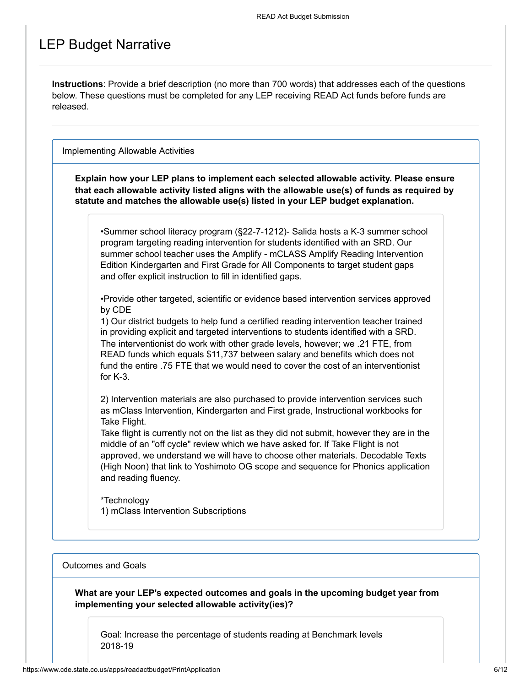## LEP Budget Narrative

**Instructions**: Provide a brief description (no more than 700 words) that addresses each of the questions below. These questions must be completed for any LEP receiving READ Act funds before funds are released.

Implementing Allowable Activities

**Explain how your LEP plans to implement each selected allowable activity. Please ensure that each allowable activity listed aligns with the allowable use(s) of funds as required by statute and matches the allowable use(s) listed in your LEP budget explanation.**

•Summer school literacy program (§22-7-1212)- Salida hosts a K-3 summer school program targeting reading intervention for students identified with an SRD. Our summer school teacher uses the Amplify - mCLASS Amplify Reading Intervention Edition Kindergarten and First Grade for All Components to target student gaps and offer explicit instruction to fill in identified gaps.

•Provide other targeted, scientific or evidence based intervention services approved by CDE

1) Our district budgets to help fund a certified reading intervention teacher trained in providing explicit and targeted interventions to students identified with a SRD. The interventionist do work with other grade levels, however; we .21 FTE, from READ funds which equals \$11,737 between salary and benefits which does not fund the entire .75 FTE that we would need to cover the cost of an interventionist for K-3.

2) Intervention materials are also purchased to provide intervention services such as mClass Intervention, Kindergarten and First grade, Instructional workbooks for Take Flight.

Take flight is currently not on the list as they did not submit, however they are in the middle of an "off cycle" review which we have asked for. If Take Flight is not approved, we understand we will have to choose other materials. Decodable Texts (High Noon) that link to Yoshimoto OG scope and sequence for Phonics application and reading fluency.

\*Technology 1) mClass Intervention Subscriptions

#### Outcomes and Goals

**What are your LEP's expected outcomes and goals in the upcoming budget year from implementing your selected allowable activity(ies)?**

Goal: Increase the percentage of students reading at Benchmark levels 2018-19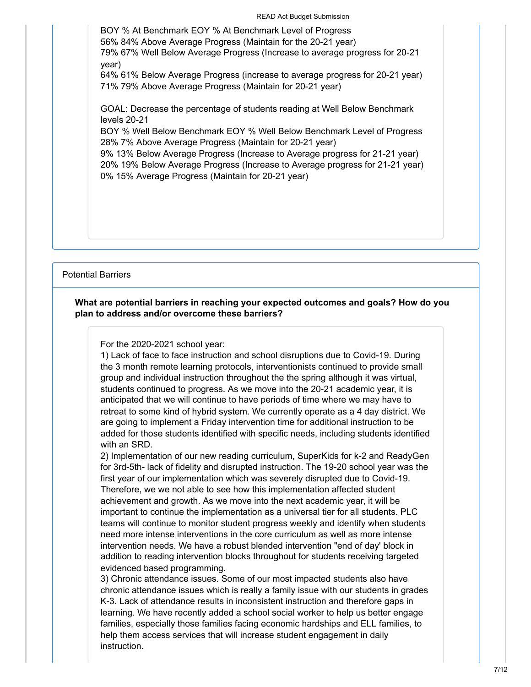READ Act Budget Submission

BOY % At Benchmark EOY % At Benchmark Level of Progress 56% 84% Above Average Progress (Maintain for the 20-21 year) 79% 67% Well Below Average Progress (Increase to average progress for 20-21 year) 64% 61% Below Average Progress (increase to average progress for 20-21 year) 71% 79% Above Average Progress (Maintain for 20-21 year) GOAL: Decrease the percentage of students reading at Well Below Benchmark levels 20-21 BOY % Well Below Benchmark EOY % Well Below Benchmark Level of Progress 28% 7% Above Average Progress (Maintain for 20-21 year) 9% 13% Below Average Progress (Increase to Average progress for 21-21 year) 20% 19% Below Average Progress (Increase to Average progress for 21-21 year)

0% 15% Average Progress (Maintain for 20-21 year)

Potential Barriers

#### **What are potential barriers in reaching your expected outcomes and goals? How do you plan to address and/or overcome these barriers?**

For the 2020-2021 school year:

1) Lack of face to face instruction and school disruptions due to Covid-19. During the 3 month remote learning protocols, interventionists continued to provide small group and individual instruction throughout the the spring although it was virtual, students continued to progress. As we move into the 20-21 academic year, it is anticipated that we will continue to have periods of time where we may have to retreat to some kind of hybrid system. We currently operate as a 4 day district. We are going to implement a Friday intervention time for additional instruction to be added for those students identified with specific needs, including students identified with an SRD.

2) Implementation of our new reading curriculum, SuperKids for k-2 and ReadyGen for 3rd-5th- lack of fidelity and disrupted instruction. The 19-20 school year was the first year of our implementation which was severely disrupted due to Covid-19. Therefore, we we not able to see how this implementation affected student achievement and growth. As we move into the next academic year, it will be important to continue the implementation as a universal tier for all students. PLC teams will continue to monitor student progress weekly and identify when students need more intense interventions in the core curriculum as well as more intense intervention needs. We have a robust blended intervention "end of day' block in addition to reading intervention blocks throughout for students receiving targeted evidenced based programming.

3) Chronic attendance issues. Some of our most impacted students also have chronic attendance issues which is really a family issue with our students in grades K-3. Lack of attendance results in inconsistent instruction and therefore gaps in learning. We have recently added a school social worker to help us better engage families, especially those families facing economic hardships and ELL families, to help them access services that will increase student engagement in daily instruction.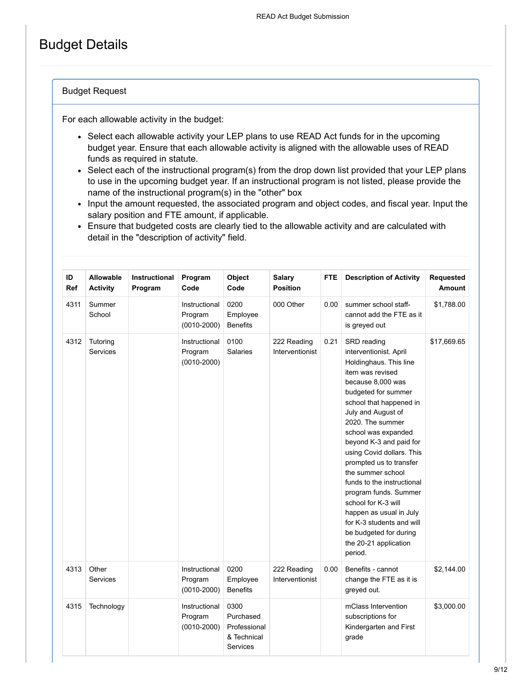## Budget Details

#### Budget Request

For each allowable activity in the budget:

- Select each allowable activity your LEP plans to use READ Act funds for in the upcoming budget year. Ensure that each allowable activity is aligned with the allowable uses of READ funds as required in statute.
- Select each of the instructional program(s) from the drop down list provided that your LEP plans to use in the upcoming budget year. If an instructional program is not listed, please provide the name of the instructional program(s) in the "other" box
- Input the amount requested, the associated program and object codes, and fiscal year. Input the salary position and FTE amount, if applicable.
- Ensure that budgeted costs are clearly tied to the allowable activity and are calculated with detail in the "description of activity" field.

| ID<br><b>Ref</b> | <b>Allowable</b><br><b>Activity</b> | <b>Instructional</b><br>Program | Program<br>Code                             | Object<br>Code                                               | <b>Salary</b><br><b>Position</b> | <b>FTE</b> | <b>Description of Activity</b>                                                                                                                                                                                                                                                                                                                                                                                                                                                                                                          | Requested<br>Amount |
|------------------|-------------------------------------|---------------------------------|---------------------------------------------|--------------------------------------------------------------|----------------------------------|------------|-----------------------------------------------------------------------------------------------------------------------------------------------------------------------------------------------------------------------------------------------------------------------------------------------------------------------------------------------------------------------------------------------------------------------------------------------------------------------------------------------------------------------------------------|---------------------|
| 4311             | Summer<br>School                    |                                 | Instructional<br>Program<br>$(0010 - 2000)$ | 0200<br>Employee<br><b>Benefits</b>                          | 000 Other                        | 0.00       | summer school staff-<br>cannot add the FTE as it<br>is greyed out                                                                                                                                                                                                                                                                                                                                                                                                                                                                       | \$1,788.00          |
| 4312             | Tutoring<br><b>Services</b>         |                                 | Instructional<br>Program<br>$(0010 - 2000)$ | 0100<br><b>Salaries</b>                                      | 222 Reading<br>Interventionist   | 0.21       | SRD reading<br>interventionist. April<br>Holdinghaus. This line<br>item was revised<br>because 8,000 was<br>budgeted for summer<br>school that happened in<br>July and August of<br>2020. The summer<br>school was expanded<br>beyond K-3 and paid for<br>using Covid dollars. This<br>prompted us to transfer<br>the summer school<br>funds to the instructional<br>program funds. Summer<br>school for K-3 will<br>happen as usual in July<br>for K-3 students and will<br>be budgeted for during<br>the 20-21 application<br>period. | \$17,669.65         |
| 4313             | Other<br><b>Services</b>            |                                 | Instructional<br>Program<br>$(0010 - 2000)$ | 0200<br>Employee<br><b>Benefits</b>                          | 222 Reading<br>Interventionist   | 0.00       | Benefits - cannot<br>change the FTE as it is<br>greyed out.                                                                                                                                                                                                                                                                                                                                                                                                                                                                             | \$2,144.00          |
| 4315             | Technology                          |                                 | Instructional<br>Program<br>$(0010 - 2000)$ | 0300<br>Purchased<br>Professional<br>& Technical<br>Services |                                  |            | mClass Intervention<br>subscriptions for<br>Kindergarten and First<br>grade                                                                                                                                                                                                                                                                                                                                                                                                                                                             | \$3,000.00          |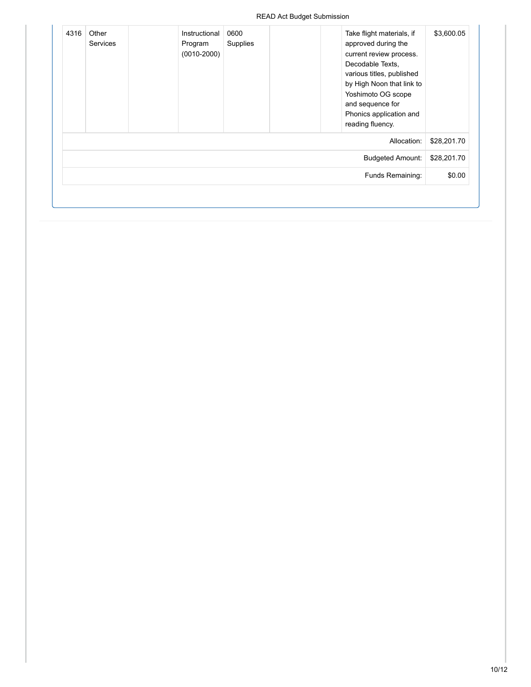| \$3,600.05  | Take flight materials, if<br>approved during the<br>current review process.<br>Decodable Texts,<br>various titles, published<br>by High Noon that link to<br>Yoshimoto OG scope<br>and sequence for<br>Phonics application and<br>reading fluency. | 0600<br>Supplies | Instructional<br>Program<br>$(0010 - 2000)$ | Other<br><b>Services</b> | 4316 |
|-------------|----------------------------------------------------------------------------------------------------------------------------------------------------------------------------------------------------------------------------------------------------|------------------|---------------------------------------------|--------------------------|------|
| \$28,201.70 | Allocation:                                                                                                                                                                                                                                        |                  |                                             |                          |      |
| \$28,201.70 | <b>Budgeted Amount:</b>                                                                                                                                                                                                                            |                  |                                             |                          |      |
| \$0.00      | Funds Remaining:                                                                                                                                                                                                                                   |                  |                                             |                          |      |